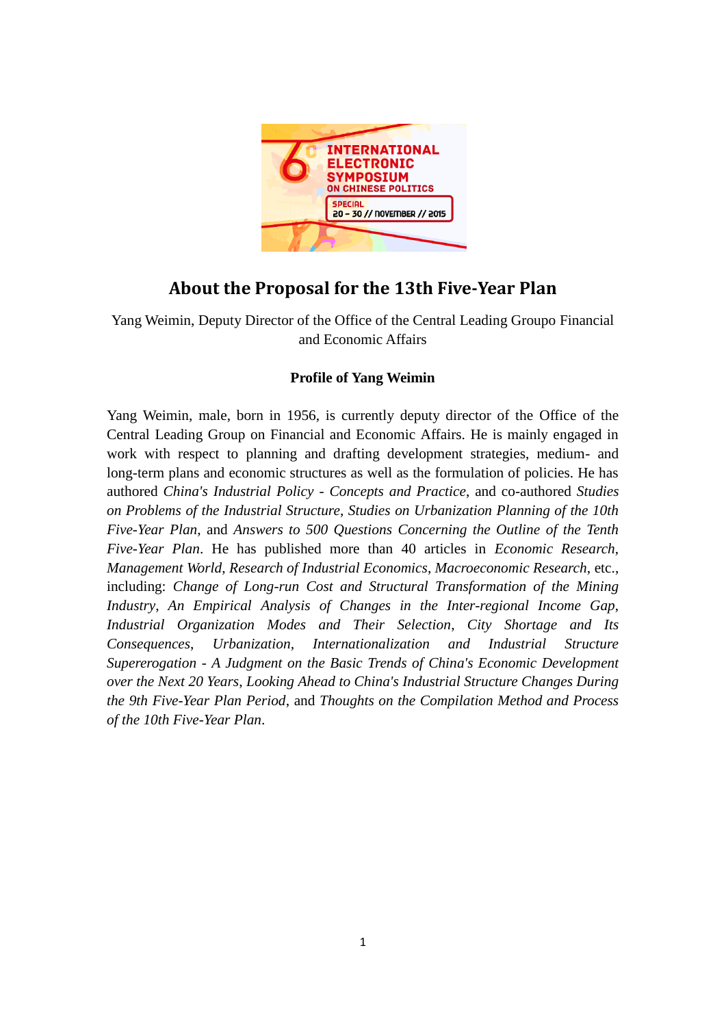

# **About the Proposal for the 13th Five-Year Plan**

Yang Weimin, Deputy Director of the Office of the Central Leading Groupo Financial and Economic Affairs

# **Profile of Yang Weimin**

Yang Weimin, male, born in 1956, is currently deputy director of the Office of the Central Leading Group on Financial and Economic Affairs. He is mainly engaged in work with respect to planning and drafting development strategies, medium- and long-term plans and economic structures as well as the formulation of policies. He has authored *China's Industrial Policy - Concepts and Practice*, and co-authored *Studies on Problems of the Industrial Structure*, *Studies on Urbanization Planning of the 10th Five-Year Plan*, and *Answers to 500 Questions Concerning the Outline of the Tenth Five-Year Plan*. He has published more than 40 articles in *Economic Research*, *Management World*, *Research of Industrial Economics*, *Macroeconomic Research*, etc., including: *Change of Long-run Cost and Structural Transformation of the Mining Industry*, *An Empirical Analysis of Changes in the Inter-regional Income Gap*, *Industrial Organization Modes and Their Selection*, *City Shortage and Its Consequences*, *Urbanization, Internationalization and Industrial Structure Supererogation - A Judgment on the Basic Trends of China's Economic Development over the Next 20 Years*, *Looking Ahead to China's Industrial Structure Changes During the 9th Five-Year Plan Period*, and *Thoughts on the Compilation Method and Process of the 10th Five-Year Plan*.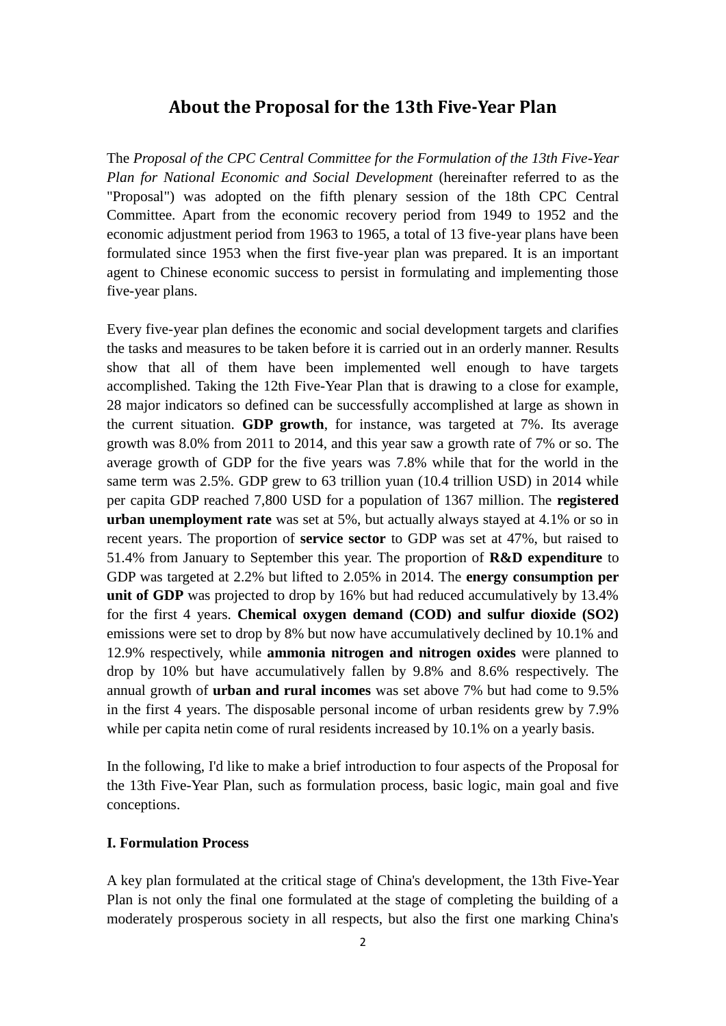# **About the Proposal for the 13th Five-Year Plan**

The *Proposal of the CPC Central Committee for the Formulation of the 13th Five-Year Plan for National Economic and Social Development* (hereinafter referred to as the "Proposal") was adopted on the fifth plenary session of the 18th CPC Central Committee. Apart from the economic recovery period from 1949 to 1952 and the economic adjustment period from 1963 to 1965, a total of 13 five-year plans have been formulated since 1953 when the first five-year plan was prepared. It is an important agent to Chinese economic success to persist in formulating and implementing those five-year plans.

Every five-year plan defines the economic and social development targets and clarifies the tasks and measures to be taken before it is carried out in an orderly manner. Results show that all of them have been implemented well enough to have targets accomplished. Taking the 12th Five-Year Plan that is drawing to a close for example, 28 major indicators so defined can be successfully accomplished at large as shown in the current situation. **GDP growth**, for instance, was targeted at 7%. Its average growth was 8.0% from 2011 to 2014, and this year saw a growth rate of 7% or so. The average growth of GDP for the five years was 7.8% while that for the world in the same term was 2.5%. GDP grew to 63 trillion yuan (10.4 trillion USD) in 2014 while per capita GDP reached 7,800 USD for a population of 1367 million. The **registered urban unemployment rate** was set at 5%, but actually always stayed at 4.1% or so in recent years. The proportion of **service sector** to GDP was set at 47%, but raised to 51.4% from January to September this year. The proportion of **R&D expenditure** to GDP was targeted at 2.2% but lifted to 2.05% in 2014. The **energy consumption per unit of GDP** was projected to drop by 16% but had reduced accumulatively by 13.4% for the first 4 years. **Chemical oxygen demand (COD) and sulfur dioxide (SO2)** emissions were set to drop by 8% but now have accumulatively declined by 10.1% and 12.9% respectively, while **ammonia nitrogen and nitrogen oxides** were planned to drop by 10% but have accumulatively fallen by 9.8% and 8.6% respectively. The annual growth of **urban and rural incomes** was set above 7% but had come to 9.5% in the first 4 years. The disposable personal income of urban residents grew by 7.9% while per capita netin come of rural residents increased by 10.1% on a yearly basis.

In the following, I'd like to make a brief introduction to four aspects of the Proposal for the 13th Five-Year Plan, such as formulation process, basic logic, main goal and five conceptions.

#### **I. Formulation Process**

A key plan formulated at the critical stage of China's development, the 13th Five-Year Plan is not only the final one formulated at the stage of completing the building of a moderately prosperous society in all respects, but also the first one marking China's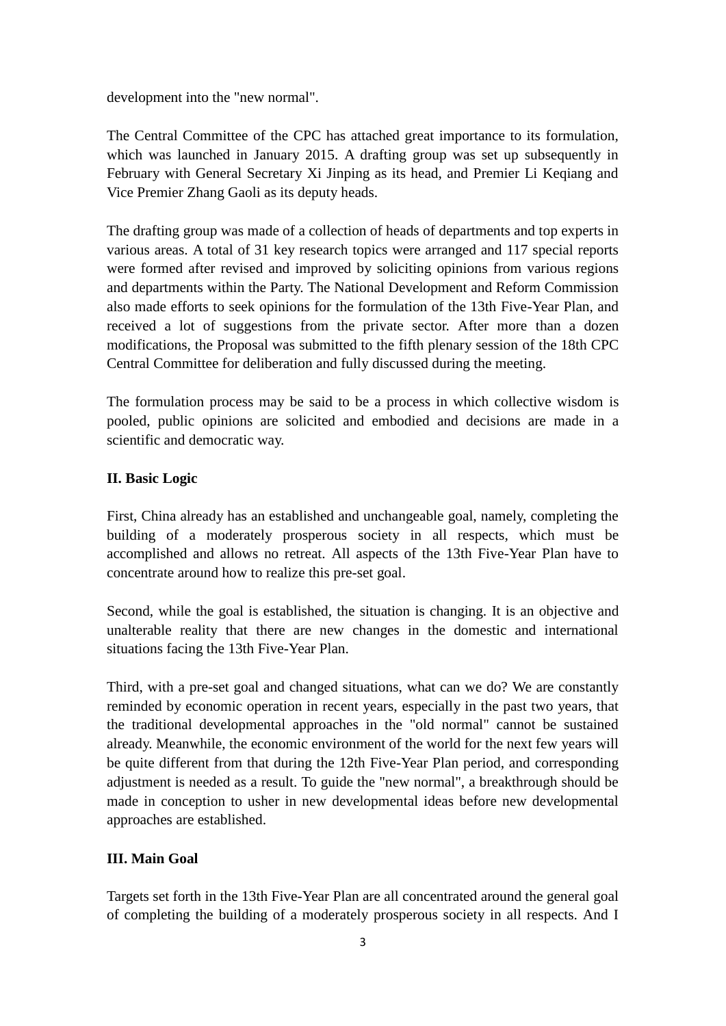development into the "new normal".

The Central Committee of the CPC has attached great importance to its formulation, which was launched in January 2015. A drafting group was set up subsequently in February with General Secretary Xi Jinping as its head, and Premier Li Keqiang and Vice Premier Zhang Gaoli as its deputy heads.

The drafting group was made of a collection of heads of departments and top experts in various areas. A total of 31 key research topics were arranged and 117 special reports were formed after revised and improved by soliciting opinions from various regions and departments within the Party. The National Development and Reform Commission also made efforts to seek opinions for the formulation of the 13th Five-Year Plan, and received a lot of suggestions from the private sector. After more than a dozen modifications, the Proposal was submitted to the fifth plenary session of the 18th CPC Central Committee for deliberation and fully discussed during the meeting.

The formulation process may be said to be a process in which collective wisdom is pooled, public opinions are solicited and embodied and decisions are made in a scientific and democratic way.

## **II. Basic Logic**

First, China already has an established and unchangeable goal, namely, completing the building of a moderately prosperous society in all respects, which must be accomplished and allows no retreat. All aspects of the 13th Five-Year Plan have to concentrate around how to realize this pre-set goal.

Second, while the goal is established, the situation is changing. It is an objective and unalterable reality that there are new changes in the domestic and international situations facing the 13th Five-Year Plan.

Third, with a pre-set goal and changed situations, what can we do? We are constantly reminded by economic operation in recent years, especially in the past two years, that the traditional developmental approaches in the "old normal" cannot be sustained already. Meanwhile, the economic environment of the world for the next few years will be quite different from that during the 12th Five-Year Plan period, and corresponding adjustment is needed as a result. To guide the "new normal", a breakthrough should be made in conception to usher in new developmental ideas before new developmental approaches are established.

### **III. Main Goal**

Targets set forth in the 13th Five-Year Plan are all concentrated around the general goal of completing the building of a moderately prosperous society in all respects. And I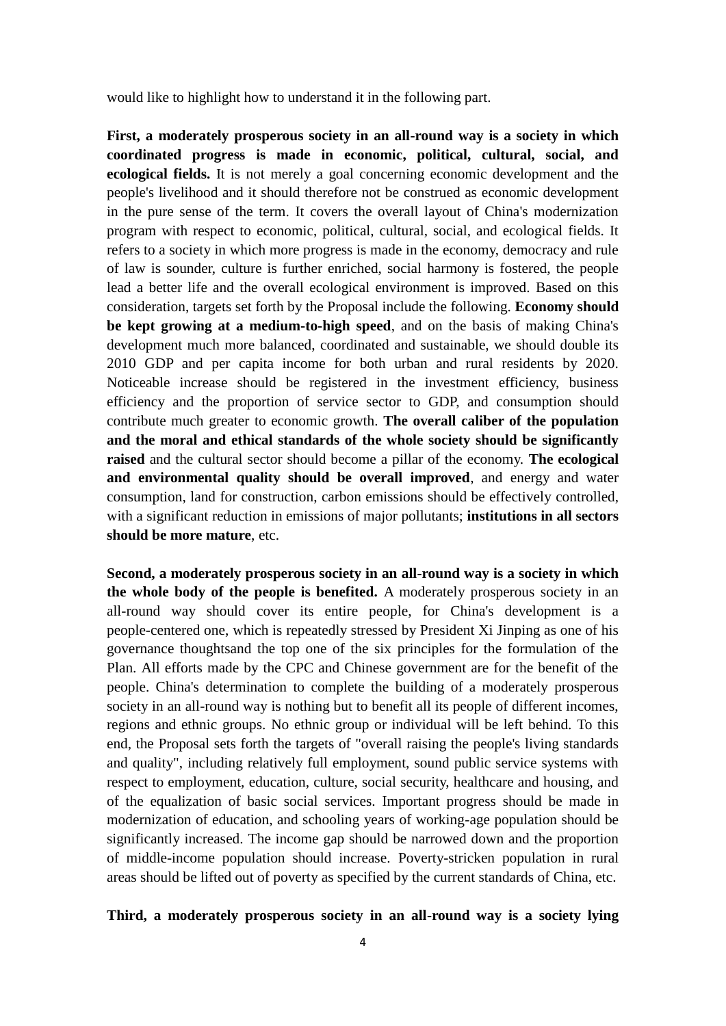would like to highlight how to understand it in the following part.

**First, a moderately prosperous society in an all-round way is a society in which coordinated progress is made in economic, political, cultural, social, and ecological fields.** It is not merely a goal concerning economic development and the people's livelihood and it should therefore not be construed as economic development in the pure sense of the term. It covers the overall layout of China's modernization program with respect to economic, political, cultural, social, and ecological fields. It refers to a society in which more progress is made in the economy, democracy and rule of law is sounder, culture is further enriched, social harmony is fostered, the people lead a better life and the overall ecological environment is improved. Based on this consideration, targets set forth by the Proposal include the following. **Economy should be kept growing at a medium-to-high speed**, and on the basis of making China's development much more balanced, coordinated and sustainable, we should double its 2010 GDP and per capita income for both urban and rural residents by 2020. Noticeable increase should be registered in the investment efficiency, business efficiency and the proportion of service sector to GDP, and consumption should contribute much greater to economic growth. **The overall caliber of the population and the moral and ethical standards of the whole society should be significantly raised** and the cultural sector should become a pillar of the economy. **The ecological and environmental quality should be overall improved**, and energy and water consumption, land for construction, carbon emissions should be effectively controlled, with a significant reduction in emissions of major pollutants; **institutions in all sectors should be more mature**, etc.

**Second, a moderately prosperous society in an all-round way is a society in which the whole body of the people is benefited.** A moderately prosperous society in an all-round way should cover its entire people, for China's development is a people-centered one, which is repeatedly stressed by President Xi Jinping as one of his governance thoughtsand the top one of the six principles for the formulation of the Plan. All efforts made by the CPC and Chinese government are for the benefit of the people. China's determination to complete the building of a moderately prosperous society in an all-round way is nothing but to benefit all its people of different incomes, regions and ethnic groups. No ethnic group or individual will be left behind. To this end, the Proposal sets forth the targets of "overall raising the people's living standards and quality", including relatively full employment, sound public service systems with respect to employment, education, culture, social security, healthcare and housing, and of the equalization of basic social services. Important progress should be made in modernization of education, and schooling years of working-age population should be significantly increased. The income gap should be narrowed down and the proportion of middle-income population should increase. Poverty-stricken population in rural areas should be lifted out of poverty as specified by the current standards of China, etc.

#### **Third, a moderately prosperous society in an all-round way is a society lying**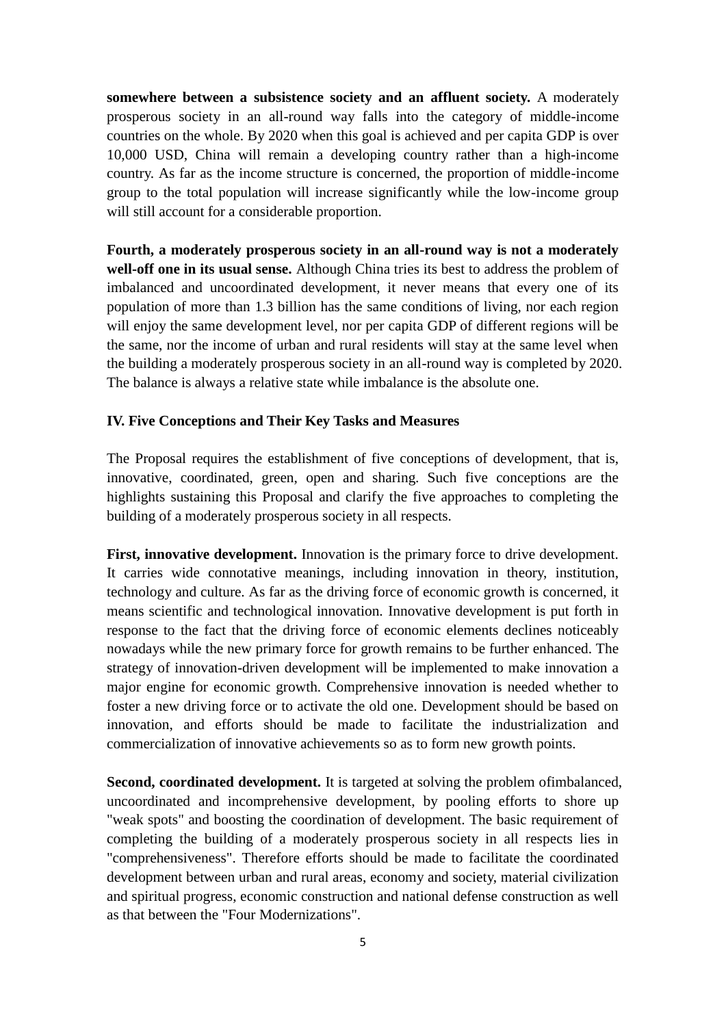**somewhere between a subsistence society and an affluent society.** A moderately prosperous society in an all-round way falls into the category of middle-income countries on the whole. By 2020 when this goal is achieved and per capita GDP is over 10,000 USD, China will remain a developing country rather than a high-income country. As far as the income structure is concerned, the proportion of middle-income group to the total population will increase significantly while the low-income group will still account for a considerable proportion.

**Fourth, a moderately prosperous society in an all-round way is not a moderately well-off one in its usual sense.** Although China tries its best to address the problem of imbalanced and uncoordinated development, it never means that every one of its population of more than 1.3 billion has the same conditions of living, nor each region will enjoy the same development level, nor per capita GDP of different regions will be the same, nor the income of urban and rural residents will stay at the same level when the building a moderately prosperous society in an all-round way is completed by 2020. The balance is always a relative state while imbalance is the absolute one.

### **IV. Five Conceptions and Their Key Tasks and Measures**

The Proposal requires the establishment of five conceptions of development, that is, innovative, coordinated, green, open and sharing. Such five conceptions are the highlights sustaining this Proposal and clarify the five approaches to completing the building of a moderately prosperous society in all respects.

**First, innovative development.** Innovation is the primary force to drive development. It carries wide connotative meanings, including innovation in theory, institution, technology and culture. As far as the driving force of economic growth is concerned, it means scientific and technological innovation. Innovative development is put forth in response to the fact that the driving force of economic elements declines noticeably nowadays while the new primary force for growth remains to be further enhanced. The strategy of innovation-driven development will be implemented to make innovation a major engine for economic growth. Comprehensive innovation is needed whether to foster a new driving force or to activate the old one. Development should be based on innovation, and efforts should be made to facilitate the industrialization and commercialization of innovative achievements so as to form new growth points.

**Second, coordinated development.** It is targeted at solving the problem ofimbalanced, uncoordinated and incomprehensive development, by pooling efforts to shore up "weak spots" and boosting the coordination of development. The basic requirement of completing the building of a moderately prosperous society in all respects lies in "comprehensiveness". Therefore efforts should be made to facilitate the coordinated development between urban and rural areas, economy and society, material civilization and spiritual progress, economic construction and national defense construction as well as that between the "Four Modernizations".